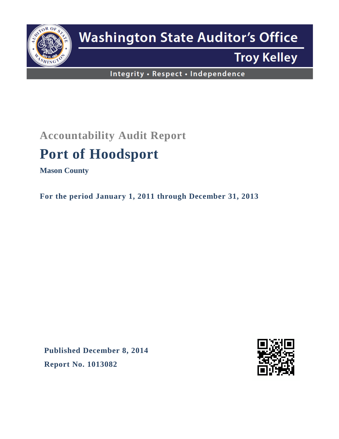

# **Washington State Auditor's Office**

## **Troy Kelley**

Integrity · Respect · Independence

### **Accountability Audit Report**

## **Port of Hoodsport**

**Mason County**

**For the period January 1, 2011 through December 31, 2013**

**Published December 8, 2014 Report No. 1013082**

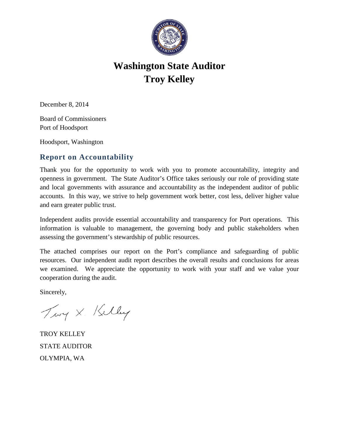

### **Washington State Auditor Troy Kelley**

December 8, 2014

Board of Commissioners Port of Hoodsport

Hoodsport, Washington

#### **Report on Accountability**

Thank you for the opportunity to work with you to promote accountability, integrity and openness in government. The State Auditor's Office takes seriously our role of providing state and local governments with assurance and accountability as the independent auditor of public accounts. In this way, we strive to help government work better, cost less, deliver higher value and earn greater public trust.

Independent audits provide essential accountability and transparency for Port operations. This information is valuable to management, the governing body and public stakeholders when assessing the government's stewardship of public resources.

The attached comprises our report on the Port's compliance and safeguarding of public resources. Our independent audit report describes the overall results and conclusions for areas we examined. We appreciate the opportunity to work with your staff and we value your cooperation during the audit.

Sincerely,

Troy X. Kelley

TROY KELLEY STATE AUDITOR OLYMPIA, WA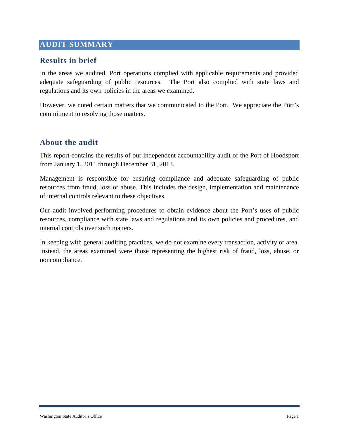#### **AUDIT SUMMARY**

#### **Results in brief**

In the areas we audited, Port operations complied with applicable requirements and provided adequate safeguarding of public resources. The Port also complied with state laws and regulations and its own policies in the areas we examined.

However, we noted certain matters that we communicated to the Port. We appreciate the Port's commitment to resolving those matters.

#### **About the audit**

This report contains the results of our independent accountability audit of the Port of Hoodsport from January 1, 2011 through December 31, 2013.

Management is responsible for ensuring compliance and adequate safeguarding of public resources from fraud, loss or abuse. This includes the design, implementation and maintenance of internal controls relevant to these objectives.

Our audit involved performing procedures to obtain evidence about the Port's uses of public resources, compliance with state laws and regulations and its own policies and procedures, and internal controls over such matters.

In keeping with general auditing practices, we do not examine every transaction, activity or area. Instead, the areas examined were those representing the highest risk of fraud, loss, abuse, or noncompliance.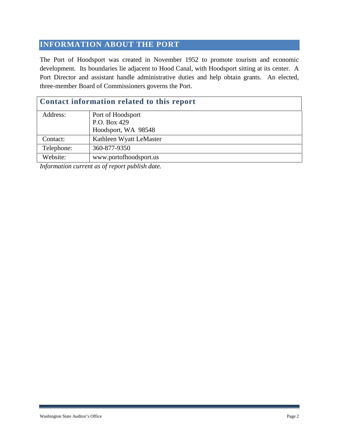#### **INFORMATION ABOUT THE PORT**

The Port of Hoodsport was created in November 1952 to promote tourism and economic development. Its boundaries lie adjacent to Hood Canal, with Hoodsport sitting at its center. A Port Director and assistant handle administrative duties and help obtain grants. An elected, three-member Board of Commissioners governs the Port.

| <b>Contact information related to this report</b> |                         |  |
|---------------------------------------------------|-------------------------|--|
| Address:                                          | Port of Hoodsport       |  |
|                                                   | P.O. Box 429            |  |
|                                                   | Hoodsport, WA 98548     |  |
| Contact:                                          | Kathleen Wyatt LeMaster |  |
| Telephone:                                        | 360-877-9350            |  |
| Website:                                          | www.portofhoodsport.us  |  |

*Information current as of report publish date.*